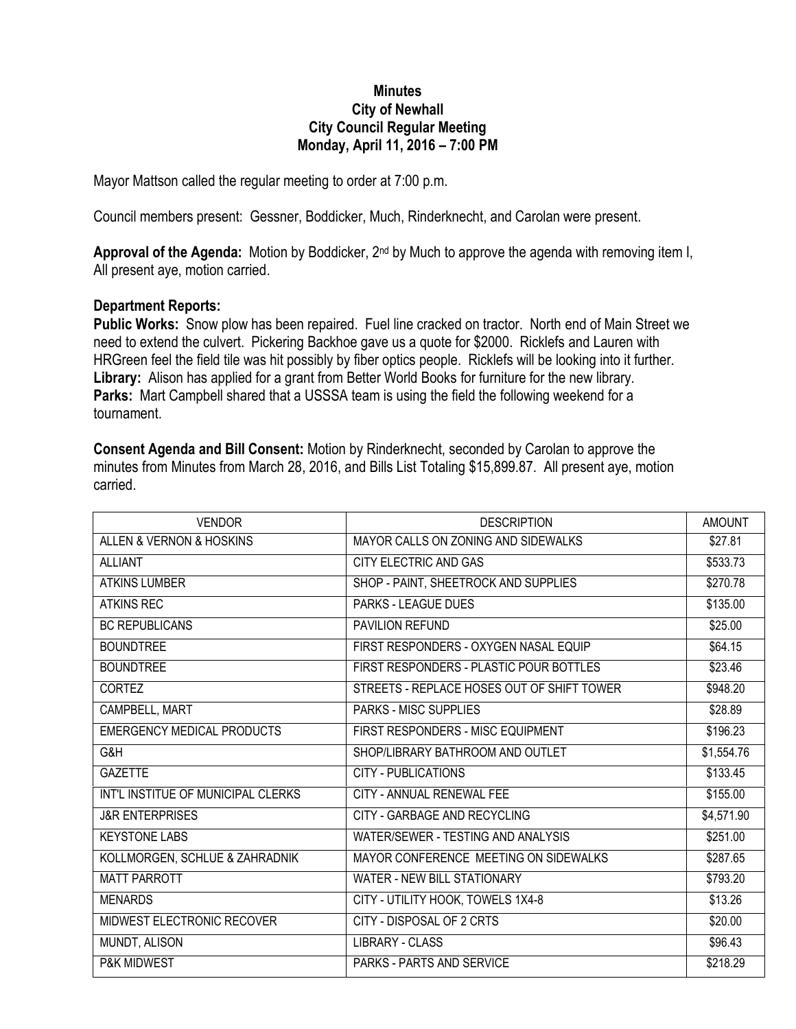## **Minutes City of Newhall City Council Regular Meeting Monday, April 11, 2016 – 7:00 PM**

Mayor Mattson called the regular meeting to order at 7:00 p.m.

Council members present: Gessner, Boddicker, Much, Rinderknecht, and Carolan were present.

**Approval of the Agenda:** Motion by Boddicker, 2nd by Much to approve the agenda with removing item I, All present aye, motion carried.

## **Department Reports:**

**Public Works:** Snow plow has been repaired. Fuel line cracked on tractor. North end of Main Street we need to extend the culvert. Pickering Backhoe gave us a quote for \$2000. Ricklefs and Lauren with HRGreen feel the field tile was hit possibly by fiber optics people. Ricklefs will be looking into it further. **Library:** Alison has applied for a grant from Better World Books for furniture for the new library. **Parks:** Mart Campbell shared that a USSSA team is using the field the following weekend for a tournament.

**Consent Agenda and Bill Consent:** Motion by Rinderknecht, seconded by Carolan to approve the minutes from Minutes from March 28, 2016, and Bills List Totaling \$15,899.87. All present aye, motion carried.

| <b>VENDOR</b>                      | <b>DESCRIPTION</b>                         | <b>AMOUNT</b> |
|------------------------------------|--------------------------------------------|---------------|
| ALLEN & VERNON & HOSKINS           | MAYOR CALLS ON ZONING AND SIDEWALKS        | \$27.81       |
| <b>ALLIANT</b>                     | CITY ELECTRIC AND GAS                      | \$533.73      |
| <b>ATKINS LUMBER</b>               | SHOP - PAINT, SHEETROCK AND SUPPLIES       | \$270.78      |
| <b>ATKINS REC</b>                  | PARKS - LEAGUE DUES                        | \$135.00      |
| <b>BC REPUBLICANS</b>              | PAVILION REFUND                            | \$25.00       |
| <b>BOUNDTREE</b>                   | FIRST RESPONDERS - OXYGEN NASAL EQUIP      | \$64.15       |
| <b>BOUNDTREE</b>                   | FIRST RESPONDERS - PLASTIC POUR BOTTLES    | \$23.46       |
| <b>CORTEZ</b>                      | STREETS - REPLACE HOSES OUT OF SHIFT TOWER | \$948.20      |
| CAMPBELL, MART                     | <b>PARKS - MISC SUPPLIES</b>               | \$28.89       |
| <b>EMERGENCY MEDICAL PRODUCTS</b>  | FIRST RESPONDERS - MISC EQUIPMENT          | \$196.23      |
| G&H                                | SHOP/LIBRARY BATHROOM AND OUTLET           | \$1,554.76    |
| <b>GAZETTE</b>                     | <b>CITY - PUBLICATIONS</b>                 | \$133.45      |
| INT'L INSTITUE OF MUNICIPAL CLERKS | CITY - ANNUAL RENEWAL FEE                  | \$155.00      |
| <b>J&amp;R ENTERPRISES</b>         | CITY - GARBAGE AND RECYCLING               | \$4,571.90    |
| <b>KEYSTONE LABS</b>               | WATER/SEWER - TESTING AND ANALYSIS         | \$251.00      |
| KOLLMORGEN, SCHLUE & ZAHRADNIK     | MAYOR CONFERENCE MEETING ON SIDEWALKS      | \$287.65      |
| <b>MATT PARROTT</b>                | WATER - NEW BILL STATIONARY                | \$793.20      |
| <b>MENARDS</b>                     | CITY - UTILITY HOOK, TOWELS 1X4-8          | \$13.26       |
| MIDWEST ELECTRONIC RECOVER         | CITY - DISPOSAL OF 2 CRTS                  | \$20.00       |
| MUNDT, ALISON                      | <b>LIBRARY - CLASS</b>                     | \$96.43       |
| <b>P&amp;K MIDWEST</b>             | <b>PARKS - PARTS AND SERVICE</b>           | \$218.29      |